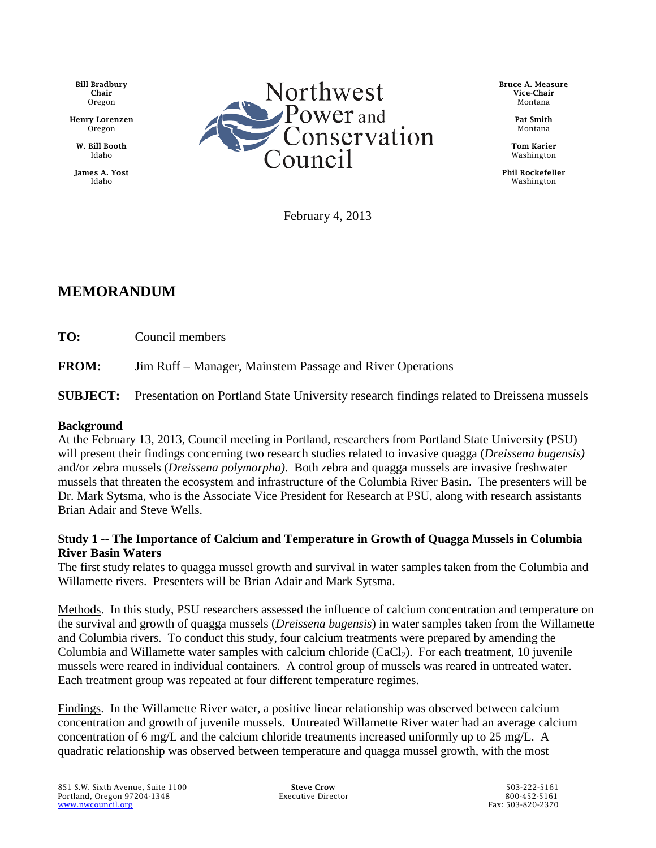Bill Bradbury Chair Oregon

Henry Lorenzen Oregon

W. Bill Booth Idaho

James A. Yost Idaho



Bruce A. Measure Vice-Chair Montana

> Pat Smith Montana

Tom Karier Washington

Phil Rockefeller Washington

February 4, 2013

## **MEMORANDUM**

**TO:** Council members

**FROM:** Jim Ruff – Manager, Mainstem Passage and River Operations

**SUBJECT:** Presentation on Portland State University research findings related to Dreissena mussels

## **Background**

At the February 13, 2013, Council meeting in Portland, researchers from Portland State University (PSU) will present their findings concerning two research studies related to invasive quagga (*Dreissena bugensis)* and/or zebra mussels (*Dreissena polymorpha)*. Both zebra and quagga mussels are invasive freshwater mussels that threaten the ecosystem and infrastructure of the Columbia River Basin. The presenters will be Dr. Mark Sytsma, who is the Associate Vice President for Research at PSU, along with research assistants Brian Adair and Steve Wells.

## **Study 1 -- The Importance of Calcium and Temperature in Growth of Quagga Mussels in Columbia River Basin Waters**

The first study relates to quagga mussel growth and survival in water samples taken from the Columbia and Willamette rivers. Presenters will be Brian Adair and Mark Sytsma.

Methods. In this study, PSU researchers assessed the influence of calcium concentration and temperature on the survival and growth of quagga mussels (*Dreissena bugensis*) in water samples taken from the Willamette and Columbia rivers. To conduct this study, four calcium treatments were prepared by amending the Columbia and Willamette water samples with calcium chloride  $(CaCl<sub>2</sub>)$ . For each treatment, 10 juvenile mussels were reared in individual containers. A control group of mussels was reared in untreated water. Each treatment group was repeated at four different temperature regimes.

Findings. In the Willamette River water, a positive linear relationship was observed between calcium concentration and growth of juvenile mussels. Untreated Willamette River water had an average calcium concentration of 6 mg/L and the calcium chloride treatments increased uniformly up to 25 mg/L. A quadratic relationship was observed between temperature and quagga mussel growth, with the most